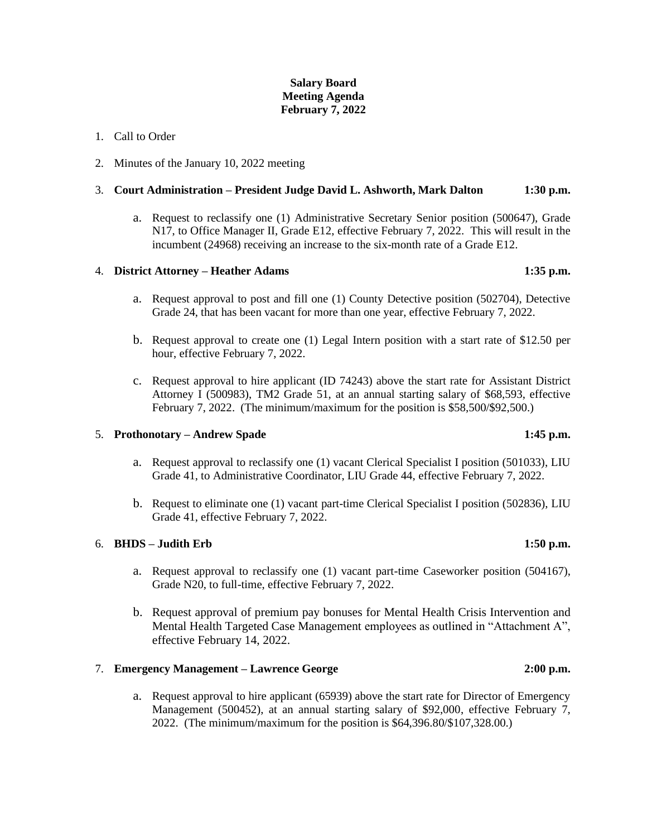# **Salary Board Meeting Agenda February 7, 2022**

## 1. Call to Order

2. Minutes of the January 10, 2022 meeting

## 3. **Court Administration – President Judge David L. Ashworth, Mark Dalton 1:30 p.m.**

a. Request to reclassify one (1) Administrative Secretary Senior position (500647), Grade N17, to Office Manager II, Grade E12, effective February 7, 2022. This will result in the incumbent (24968) receiving an increase to the six-month rate of a Grade E12.

# 4. **District Attorney – Heather Adams 1:35 p.m.**

- a. Request approval to post and fill one (1) County Detective position (502704), Detective Grade 24, that has been vacant for more than one year, effective February 7, 2022.
- b. Request approval to create one (1) Legal Intern position with a start rate of \$12.50 per hour, effective February 7, 2022.
- c. Request approval to hire applicant (ID 74243) above the start rate for Assistant District Attorney I (500983), TM2 Grade 51, at an annual starting salary of \$68,593, effective February 7, 2022. (The minimum/maximum for the position is \$58,500/\$92,500.)

### 5. **Prothonotary – Andrew Spade 1:45 p.m.**

- a. Request approval to reclassify one (1) vacant Clerical Specialist I position (501033), LIU Grade 41, to Administrative Coordinator, LIU Grade 44, effective February 7, 2022.
- b. Request to eliminate one (1) vacant part-time Clerical Specialist I position (502836), LIU Grade 41, effective February 7, 2022.

# 6. **BHDS – Judith Erb 1:50 p.m.**

- a. Request approval to reclassify one (1) vacant part-time Caseworker position (504167), Grade N20, to full-time, effective February 7, 2022.
- b. Request approval of premium pay bonuses for Mental Health Crisis Intervention and Mental Health Targeted Case Management employees as outlined in "Attachment A", effective February 14, 2022.

# 7. **Emergency Management – Lawrence George 2:00 p.m.**

a. Request approval to hire applicant (65939) above the start rate for Director of Emergency Management (500452), at an annual starting salary of \$92,000, effective February 7, 2022. (The minimum/maximum for the position is \$64,396.80/\$107,328.00.)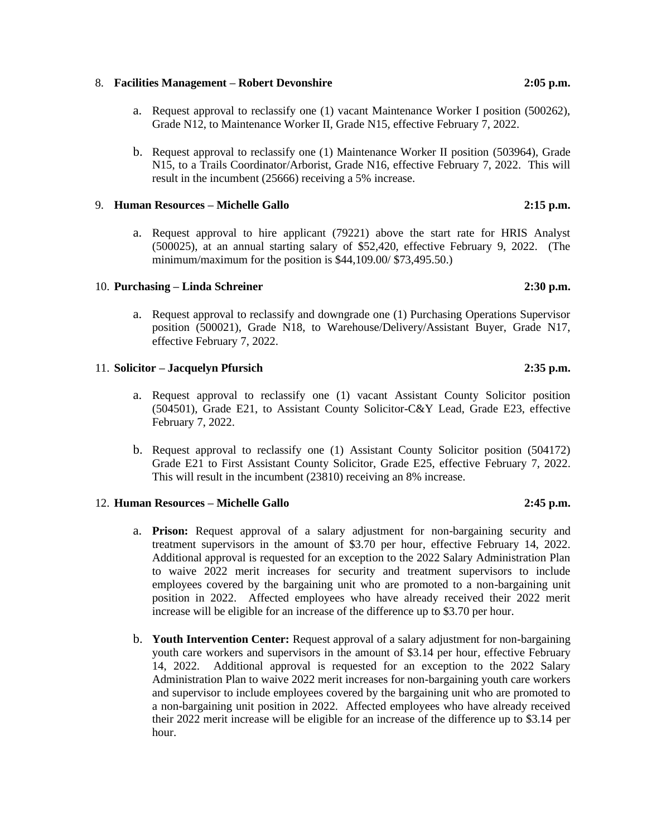#### 8. **Facilities Management – Robert Devonshire 2:05 p.m.**

- a. Request approval to reclassify one (1) vacant Maintenance Worker I position (500262), Grade N12, to Maintenance Worker II, Grade N15, effective February 7, 2022.
- b. Request approval to reclassify one (1) Maintenance Worker II position (503964), Grade N15, to a Trails Coordinator/Arborist, Grade N16, effective February 7, 2022. This will result in the incumbent (25666) receiving a 5% increase.

## 9. **Human Resources – Michelle Gallo 2:15 p.m.**

a. Request approval to hire applicant (79221) above the start rate for HRIS Analyst (500025), at an annual starting salary of \$52,420, effective February 9, 2022. (The minimum/maximum for the position is \$44,109.00/ \$73,495.50.)

### 10. **Purchasing – Linda Schreiner 2:30 p.m.**

a. Request approval to reclassify and downgrade one (1) Purchasing Operations Supervisor position (500021), Grade N18, to Warehouse/Delivery/Assistant Buyer, Grade N17, effective February 7, 2022.

#### 11. **Solicitor – Jacquelyn Pfursich 2:35 p.m.**

- a. Request approval to reclassify one (1) vacant Assistant County Solicitor position (504501), Grade E21, to Assistant County Solicitor-C&Y Lead, Grade E23, effective February 7, 2022.
- b. Request approval to reclassify one (1) Assistant County Solicitor position (504172) Grade E21 to First Assistant County Solicitor, Grade E25, effective February 7, 2022. This will result in the incumbent (23810) receiving an 8% increase.

### 12. **Human Resources – Michelle Gallo 2:45 p.m.**

- a. **Prison:** Request approval of a salary adjustment for non-bargaining security and treatment supervisors in the amount of \$3.70 per hour, effective February 14, 2022. Additional approval is requested for an exception to the 2022 Salary Administration Plan to waive 2022 merit increases for security and treatment supervisors to include employees covered by the bargaining unit who are promoted to a non-bargaining unit position in 2022. Affected employees who have already received their 2022 merit increase will be eligible for an increase of the difference up to \$3.70 per hour.
- b. **Youth Intervention Center:** Request approval of a salary adjustment for non-bargaining youth care workers and supervisors in the amount of \$3.14 per hour, effective February 14, 2022. Additional approval is requested for an exception to the 2022 Salary Administration Plan to waive 2022 merit increases for non-bargaining youth care workers and supervisor to include employees covered by the bargaining unit who are promoted to a non-bargaining unit position in 2022. Affected employees who have already received their 2022 merit increase will be eligible for an increase of the difference up to \$3.14 per hour.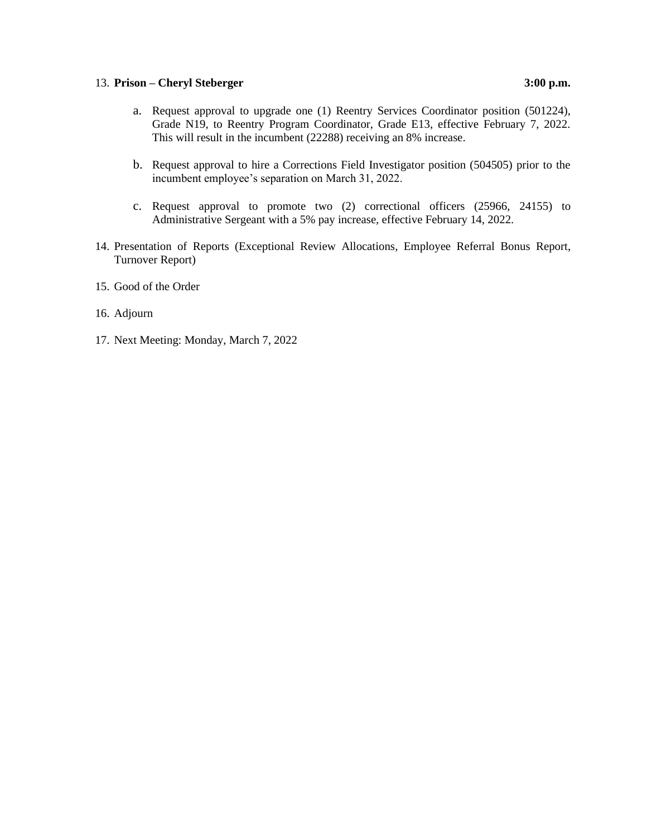# 13. **Prison – Cheryl Steberger 3:00 p.m.**

- a. Request approval to upgrade one (1) Reentry Services Coordinator position (501224), Grade N19, to Reentry Program Coordinator, Grade E13, effective February 7, 2022. This will result in the incumbent (22288) receiving an 8% increase.
- b. Request approval to hire a Corrections Field Investigator position (504505) prior to the incumbent employee's separation on March 31, 2022.
- c. Request approval to promote two (2) correctional officers (25966, 24155) to Administrative Sergeant with a 5% pay increase, effective February 14, 2022.
- 14. Presentation of Reports (Exceptional Review Allocations, Employee Referral Bonus Report, Turnover Report)
- 15. Good of the Order
- 16. Adjourn
- 17. Next Meeting: Monday, March 7, 2022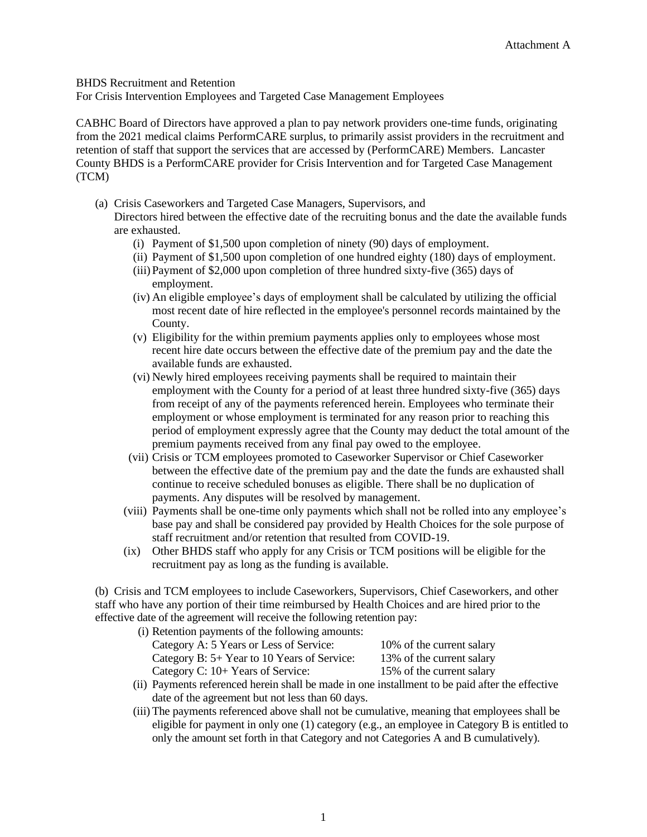# BHDS Recruitment and Retention

For Crisis Intervention Employees and Targeted Case Management Employees

CABHC Board of Directors have approved a plan to pay network providers one-time funds, originating from the 2021 medical claims PerformCARE surplus, to primarily assist providers in the recruitment and retention of staff that support the services that are accessed by (PerformCARE) Members. Lancaster County BHDS is a PerformCARE provider for Crisis Intervention and for Targeted Case Management (TCM)

(a) Crisis Caseworkers and Targeted Case Managers, Supervisors, and

Directors hired between the effective date of the recruiting bonus and the date the available funds are exhausted.

- (i) Payment of \$1,500 upon completion of ninety (90) days of employment.
- (ii) Payment of \$1,500 upon completion of one hundred eighty (180) days of employment.
- (iii)Payment of \$2,000 upon completion of three hundred sixty-five (365) days of employment.
- (iv) An eligible employee's days of employment shall be calculated by utilizing the official most recent date of hire reflected in the employee's personnel records maintained by the County.
- (v) Eligibility for the within premium payments applies only to employees whose most recent hire date occurs between the effective date of the premium pay and the date the available funds are exhausted.
- (vi) Newly hired employees receiving payments shall be required to maintain their employment with the County for a period of at least three hundred sixty-five (365) days from receipt of any of the payments referenced herein. Employees who terminate their employment or whose employment is terminated for any reason prior to reaching this period of employment expressly agree that the County may deduct the total amount of the premium payments received from any final pay owed to the employee.
- (vii) Crisis or TCM employees promoted to Caseworker Supervisor or Chief Caseworker between the effective date of the premium pay and the date the funds are exhausted shall continue to receive scheduled bonuses as eligible. There shall be no duplication of payments. Any disputes will be resolved by management.
- (viii) Payments shall be one-time only payments which shall not be rolled into any employee's base pay and shall be considered pay provided by Health Choices for the sole purpose of staff recruitment and/or retention that resulted from COVID-19.
- (ix) Other BHDS staff who apply for any Crisis or TCM positions will be eligible for the recruitment pay as long as the funding is available.

(b) Crisis and TCM employees to include Caseworkers, Supervisors, Chief Caseworkers, and other staff who have any portion of their time reimbursed by Health Choices and are hired prior to the effective date of the agreement will receive the following retention pay:

| (i) Retention payments of the following amounts: |                           |
|--------------------------------------------------|---------------------------|
| Category A: 5 Years or Less of Service:          | 10% of the current salary |
| Category B: 5+ Year to 10 Years of Service:      | 13% of the current salary |
| Category C: 10+ Years of Service:                | 15% of the current salary |

- (ii) Payments referenced herein shall be made in one installment to be paid after the effective date of the agreement but not less than 60 days.
- (iii) The payments referenced above shall not be cumulative, meaning that employees shall be eligible for payment in only one (1) category (e.g., an employee in Category B is entitled to only the amount set forth in that Category and not Categories A and B cumulatively).